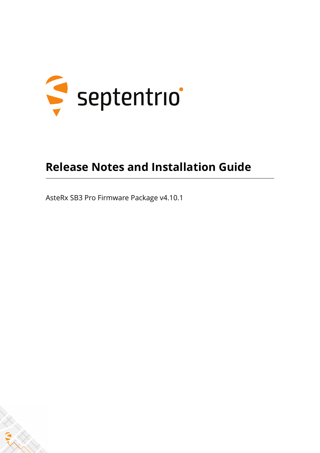

#### **Release Notes and Installation Guide**

AsteRx SB3 Pro Firmware Package v4.10.1

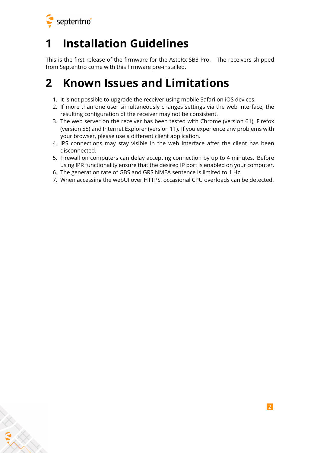

### **1 Installation Guidelines**

This is the first release of the firmware for the AsteRx SB3 Pro. The receivers shipped from Septentrio come with this firmware pre-installed.

#### **2 Known Issues and Limitations**

- 1. It is not possible to upgrade the receiver using mobile Safari on iOS devices.
- 2. If more than one user simultaneously changes settings via the web interface, the resulting configuration of the receiver may not be consistent.
- 3. The web server on the receiver has been tested with Chrome (version 61), Firefox (version 55) and Internet Explorer (version 11). If you experience any problems with your browser, please use a different client application.
- 4. IPS connections may stay visible in the web interface after the client has been disconnected.
- 5. Firewall on computers can delay accepting connection by up to 4 minutes. Before using IPR functionality ensure that the desired IP port is enabled on your computer.
- 6. The generation rate of GBS and GRS NMEA sentence is limited to 1 Hz.
- 7. When accessing the webUI over HTTPS, occasional CPU overloads can be detected.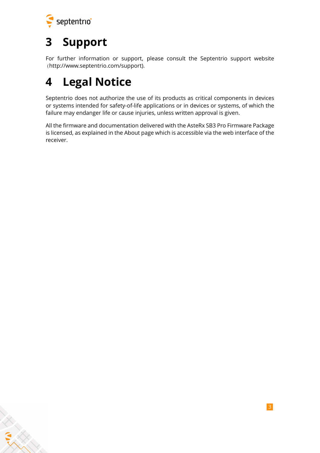

ERAN

## **3 Support**

For further information or support, please consult the Septentrio support website [\(](()http://www.septentrio.com/support).

## **4 Legal Notice**

Septentrio does not authorize the use of its products as critical components in devices or systems intended for safety-of-life applications or in devices or systems, of which the failure may endanger life or cause injuries, unless written approval is given.

All the firmware and documentation delivered with the AsteRx SB3 Pro Firmware Package is licensed, as explained in the About page which is accessible via the web interface of the receiver.